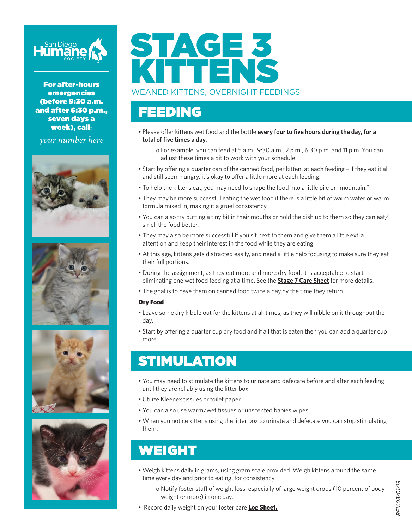

For after-hours emergencies (before 9:30 a.m. and after 6:30 p.m., seven days a week), call**:**

*your number here*









# STAGE 3 KITTENS

WEANED KITTENS, OVERNIGHT FEEDINGS

#### FEEDING

• Please offer kittens wet food and the bottle **every four to five hours during the day, for a total of five times a day.**

o For example, you can feed at 5 a.m., 9:30 a.m., 2 p.m., 6:30 p.m. and 11 p.m. You can adjust these times a bit to work with your schedule.

- Start by offering a quarter can of the canned food, per kitten, at each feeding if they eat it all and still seem hungry, it's okay to offer a little more at each feeding.
- To help the kittens eat, you may need to shape the food into a little pile or "mountain."
- They may be more successful eating the wet food if there is a little bit of warm water or warm formula mixed in, making it a gruel consistency.
- You can also try putting a tiny bit in their mouths or hold the dish up to them so they can eat/ smell the food better.
- They may also be more successful if you sit next to them and give them a little extra attention and keep their interest in the food while they are eating.
- At this age, kittens gets distracted easily, and need a little help focusing to make sure they eat their full portions.
- During the assignment, as they eat more and more dry food, it is acceptable to start eliminating one wet food feeding at a time. See the **Stage 7 Care Sheet** for more details.
- The goal is to have them on canned food twice a day by the time they return.

#### Dry Food

- Leave some dry kibble out for the kittens at all times, as they will nibble on it throughout the day.
- Start by offering a quarter cup dry food and if all that is eaten then you can add a quarter cup more.

#### STIMULATION

- You may need to stimulate the kittens to urinate and defecate before and after each feeding until they are reliably using the litter box.
- Utilize Kleenex tissues or toilet paper.
- You can also use warm/wet tissues or unscented babies wipes.
- When you notice kittens using the litter box to urinate and defecate you can stop stimulating them.

#### WEIGHT

- Weigh kittens daily in grams, using gram scale provided. Weigh kittens around the same time every day and prior to eating, for consistency.
	- o Notify foster staff of weight loss, especially of large weight drops (10 percent of body weight or more) in one day.
- Record daily weight on your foster care **Log Sheet.**